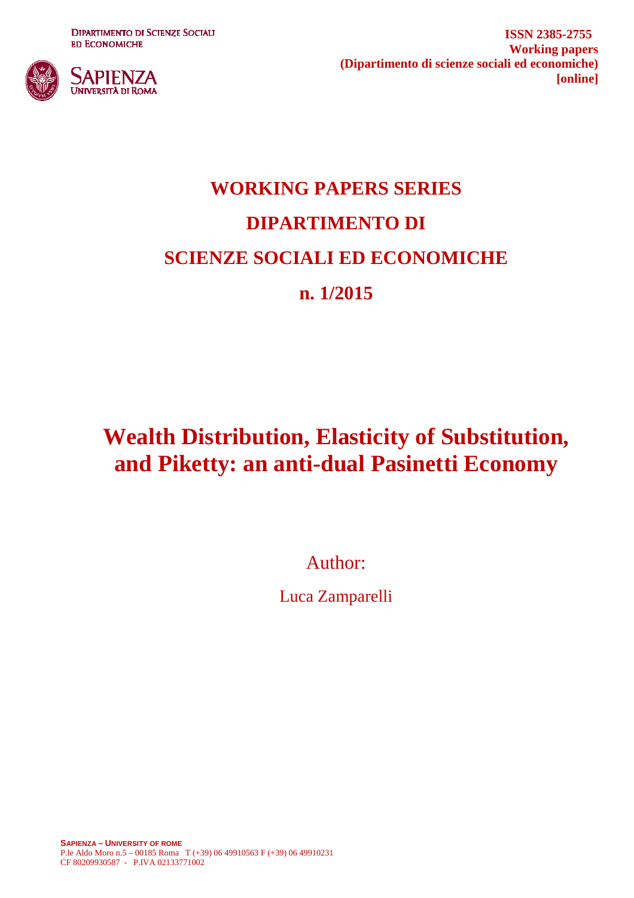**DIPARTIMENTO DI SCIENZE SOCIALI ED ECONOMICHE** 



**ISSN 2385-2755 Working papers (Dipartimento di scienze sociali ed economiche) [online]**

## **WORKING PAPERS SERIES DIPARTIMENTO DI SCIENZE SOCIALI ED ECONOMICHE n. 1/2015**

## **Wealth Distribution, Elasticity of Substitution, and Piketty: an anti-dual Pasinetti Economy**

Author:

Luca Zamparelli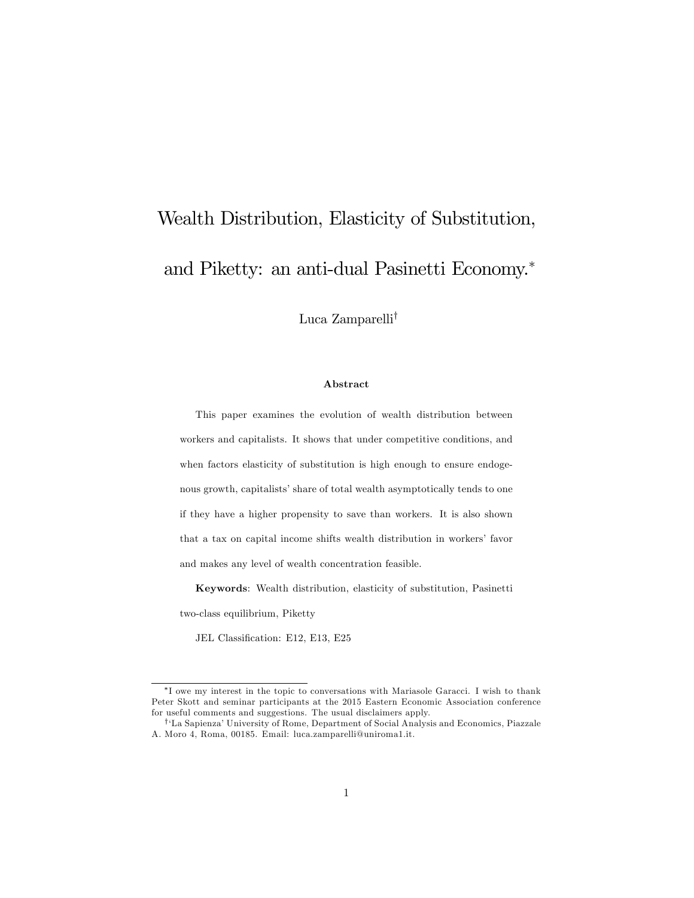# Wealth Distribution, Elasticity of Substitution, and Piketty: an anti-dual Pasinetti Economy.

Luca Zamparelli<sup>†</sup>

#### Abstract

This paper examines the evolution of wealth distribution between workers and capitalists. It shows that under competitive conditions, and when factors elasticity of substitution is high enough to ensure endogenous growth, capitalists' share of total wealth asymptotically tends to one if they have a higher propensity to save than workers. It is also shown that a tax on capital income shifts wealth distribution in workers' favor and makes any level of wealth concentration feasible.

Keywords: Wealth distribution, elasticity of substitution, Pasinetti two-class equilibrium, Piketty

JEL Classification: E12, E13, E25

I owe my interest in the topic to conversations with Mariasole Garacci. I wish to thank Peter Skott and seminar participants at the 2015 Eastern Economic Association conference for useful comments and suggestions. The usual disclaimers apply.

<sup>&</sup>lt;sup>†</sup>'La Sapienza' University of Rome, Department of Social Analysis and Economics, Piazzale A. Moro 4, Roma, 00185. Email: luca.zamparelli@uniroma1.it.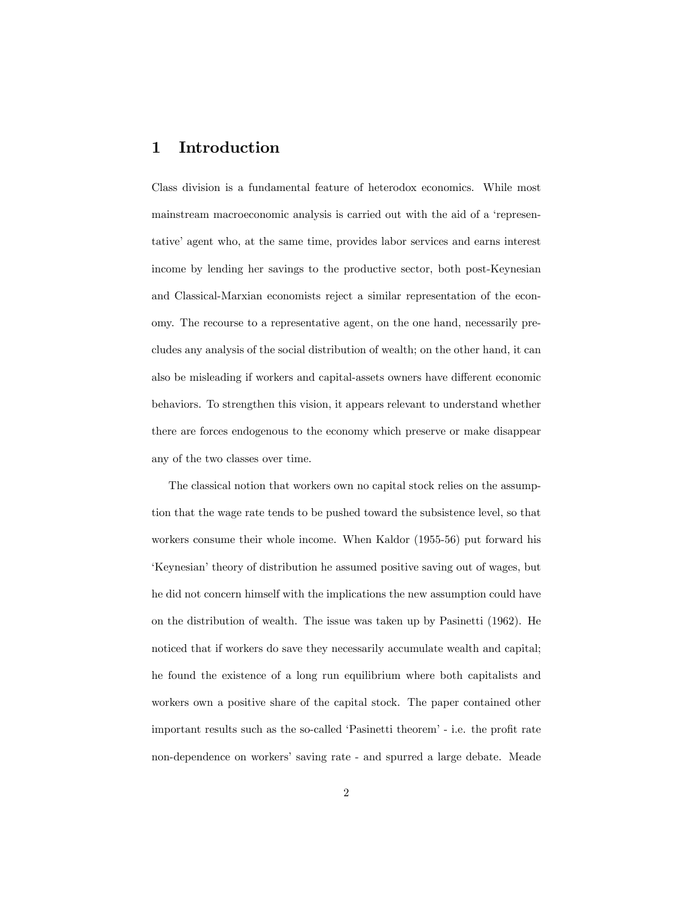## 1 Introduction

Class division is a fundamental feature of heterodox economics. While most mainstream macroeconomic analysis is carried out with the aid of a 'representative' agent who, at the same time, provides labor services and earns interest income by lending her savings to the productive sector, both post-Keynesian and Classical-Marxian economists reject a similar representation of the economy. The recourse to a representative agent, on the one hand, necessarily precludes any analysis of the social distribution of wealth; on the other hand, it can also be misleading if workers and capital-assets owners have different economic behaviors. To strengthen this vision, it appears relevant to understand whether there are forces endogenous to the economy which preserve or make disappear any of the two classes over time.

The classical notion that workers own no capital stock relies on the assumption that the wage rate tends to be pushed toward the subsistence level, so that workers consume their whole income. When Kaldor (1955-56) put forward his Keynesian' theory of distribution he assumed positive saving out of wages, but he did not concern himself with the implications the new assumption could have on the distribution of wealth. The issue was taken up by Pasinetti (1962). He noticed that if workers do save they necessarily accumulate wealth and capital; he found the existence of a long run equilibrium where both capitalists and workers own a positive share of the capital stock. The paper contained other important results such as the so-called 'Pasinetti theorem' - i.e. the profit rate non-dependence on workersí saving rate - and spurred a large debate. Meade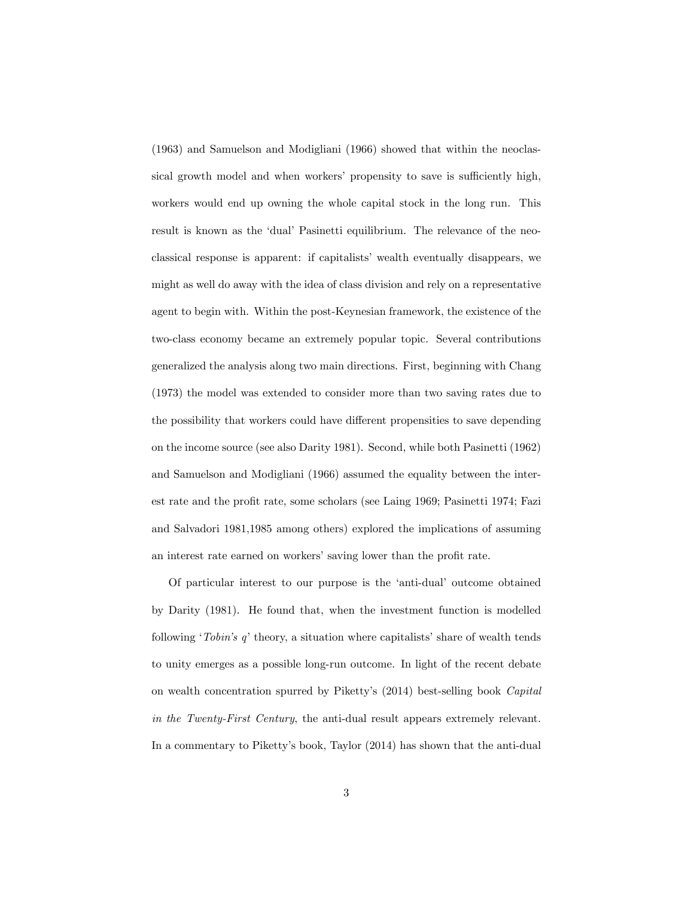(1963) and Samuelson and Modigliani (1966) showed that within the neoclassical growth model and when workers' propensity to save is sufficiently high, workers would end up owning the whole capital stock in the long run. This result is known as the 'dual' Pasinetti equilibrium. The relevance of the neoclassical response is apparent: if capitalistsí wealth eventually disappears, we might as well do away with the idea of class division and rely on a representative agent to begin with. Within the post-Keynesian framework, the existence of the two-class economy became an extremely popular topic. Several contributions generalized the analysis along two main directions. First, beginning with Chang (1973) the model was extended to consider more than two saving rates due to the possibility that workers could have different propensities to save depending on the income source (see also Darity 1981). Second, while both Pasinetti (1962) and Samuelson and Modigliani (1966) assumed the equality between the interest rate and the profit rate, some scholars (see Laing 1969; Pasinetti 1974; Fazi and Salvadori 1981,1985 among others) explored the implications of assuming an interest rate earned on workers' saving lower than the profit rate.

Of particular interest to our purpose is the 'anti-dual' outcome obtained by Darity (1981). He found that, when the investment function is modelled following *'Tobin's q'* theory, a situation where capitalists' share of wealth tends to unity emerges as a possible long-run outcome. In light of the recent debate on wealth concentration spurred by Piketty's (2014) best-selling book Capital in the Twenty-First Century, the anti-dual result appears extremely relevant. In a commentary to Pikettyís book, Taylor (2014) has shown that the anti-dual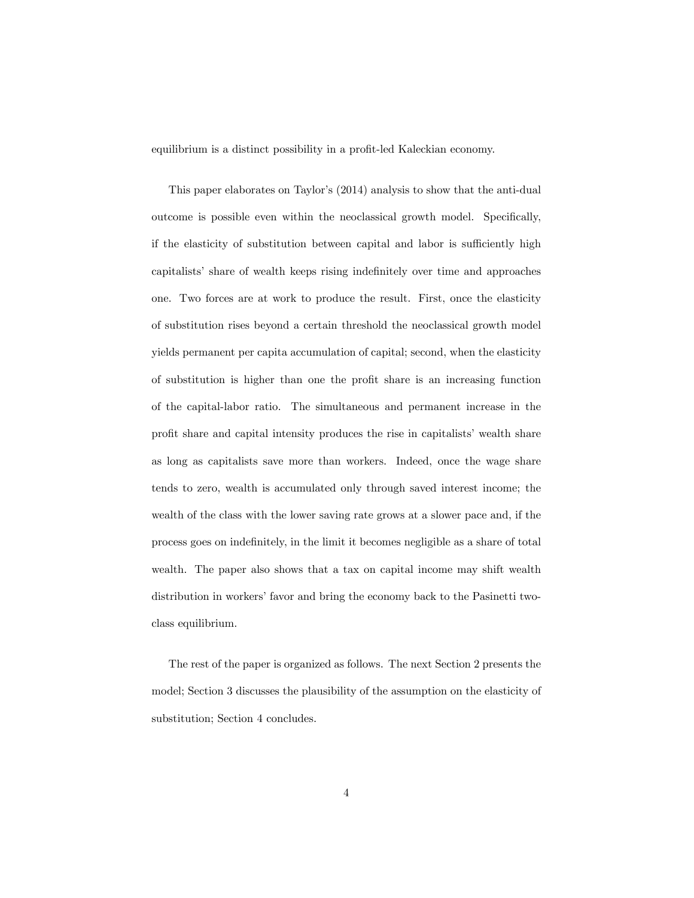equilibrium is a distinct possibility in a profit-led Kaleckian economy.

This paper elaborates on Taylor's (2014) analysis to show that the anti-dual outcome is possible even within the neoclassical growth model. Specifically, if the elasticity of substitution between capital and labor is sufficiently high capitalists' share of wealth keeps rising indefinitely over time and approaches one. Two forces are at work to produce the result. First, once the elasticity of substitution rises beyond a certain threshold the neoclassical growth model yields permanent per capita accumulation of capital; second, when the elasticity of substitution is higher than one the proÖt share is an increasing function of the capital-labor ratio. The simultaneous and permanent increase in the profit share and capital intensity produces the rise in capitalists' wealth share as long as capitalists save more than workers. Indeed, once the wage share tends to zero, wealth is accumulated only through saved interest income; the wealth of the class with the lower saving rate grows at a slower pace and, if the process goes on indefinitely, in the limit it becomes negligible as a share of total wealth. The paper also shows that a tax on capital income may shift wealth distribution in workers' favor and bring the economy back to the Pasinetti twoclass equilibrium.

The rest of the paper is organized as follows. The next Section 2 presents the model; Section 3 discusses the plausibility of the assumption on the elasticity of substitution; Section 4 concludes.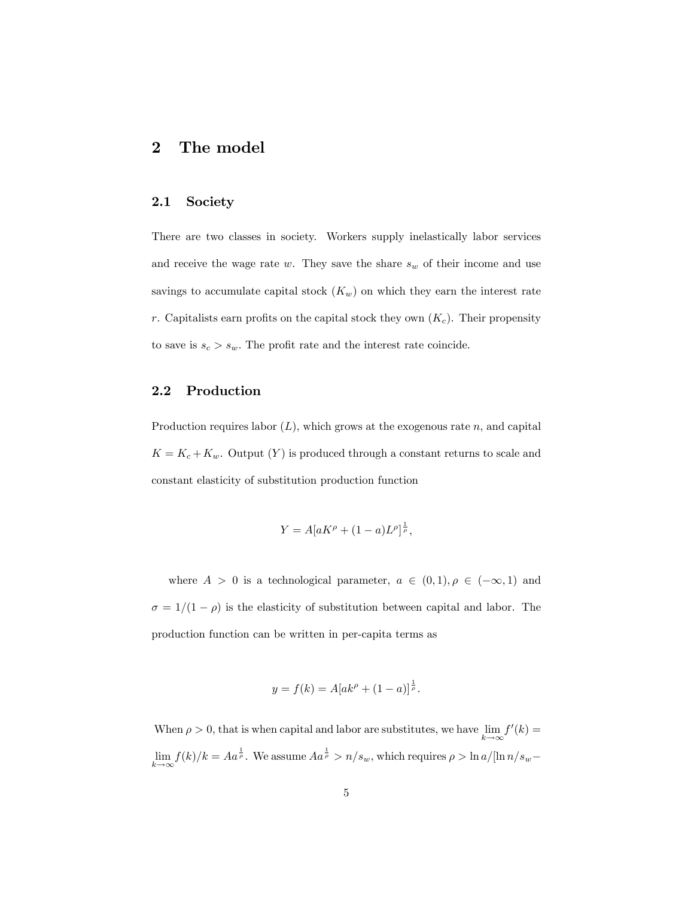### 2 The model

#### 2.1 Society

There are two classes in society. Workers supply inelastically labor services and receive the wage rate  $w$ . They save the share  $s_w$  of their income and use savings to accumulate capital stock  $(K_w)$  on which they earn the interest rate r. Capitalists earn profits on the capital stock they own  $(K_c)$ . Their propensity to save is  $s_c > s_w$ . The profit rate and the interest rate coincide.

#### 2.2 Production

Production requires labor  $(L)$ , which grows at the exogenous rate n, and capital  $K = K_c + K_w$ . Output  $(Y)$  is produced through a constant returns to scale and constant elasticity of substitution production function

$$
Y = A[aK^{\rho} + (1-a)L^{\rho}]^{\frac{1}{\rho}},
$$

where  $A > 0$  is a technological parameter,  $a \in (0, 1), \rho \in (-\infty, 1)$  and  $\sigma = 1/(1 - \rho)$  is the elasticity of substitution between capital and labor. The production function can be written in per-capita terms as

$$
y = f(k) = A[ak^{\rho} + (1 - a)]^{\frac{1}{\rho}}.
$$

When  $\rho > 0$ , that is when capital and labor are substitutes, we have lim  $k \rightarrow \infty$  $f'(k) =$ lim  $k \rightarrow \infty$  $f(k)/k = A a^{\frac{1}{\rho}}$ . We assume  $A a^{\frac{1}{\rho}} > n/s_w$ , which requires  $\rho > \ln a/[\ln n/s_w -$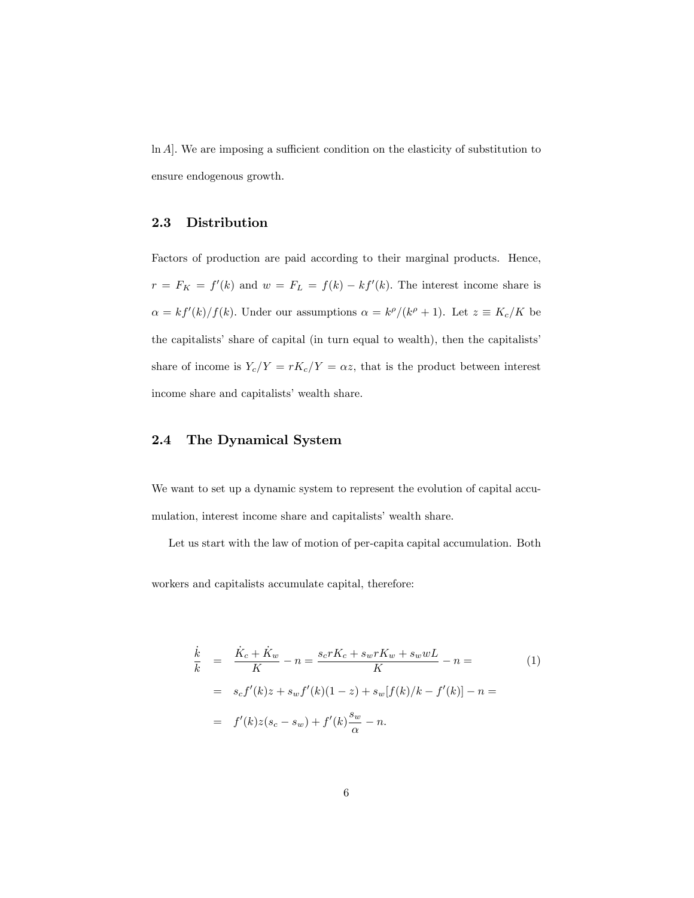$\ln A$ . We are imposing a sufficient condition on the elasticity of substitution to ensure endogenous growth.

#### 2.3 Distribution

Factors of production are paid according to their marginal products. Hence,  $r = F_K = f'(k)$  and  $w = F_L = f(k) - kf'(k)$ . The interest income share is  $\alpha = kf'(k)/f(k)$ . Under our assumptions  $\alpha = k^{\rho}/(k^{\rho} + 1)$ . Let  $z \equiv K_c/K$  be the capitalists' share of capital (in turn equal to wealth), then the capitalists' share of income is  $Y_c/Y = rK_c/Y = \alpha z$ , that is the product between interest income share and capitalists' wealth share.

#### 2.4 The Dynamical System

We want to set up a dynamic system to represent the evolution of capital accumulation, interest income share and capitalists' wealth share.

Let us start with the law of motion of per-capita capital accumulation. Both

workers and capitalists accumulate capital, therefore:

$$
\frac{\dot{k}}{k} = \frac{\dot{K}_c + \dot{K}_w}{K} - n = \frac{s_c r K_c + s_w r K_w + s_w w L}{K} - n =
$$
\n
$$
= s_c f'(k) z + s_w f'(k) (1 - z) + s_w [f(k)/k - f'(k)] - n =
$$
\n
$$
= f'(k) z (s_c - s_w) + f'(k) \frac{s_w}{\alpha} - n.
$$
\n(1)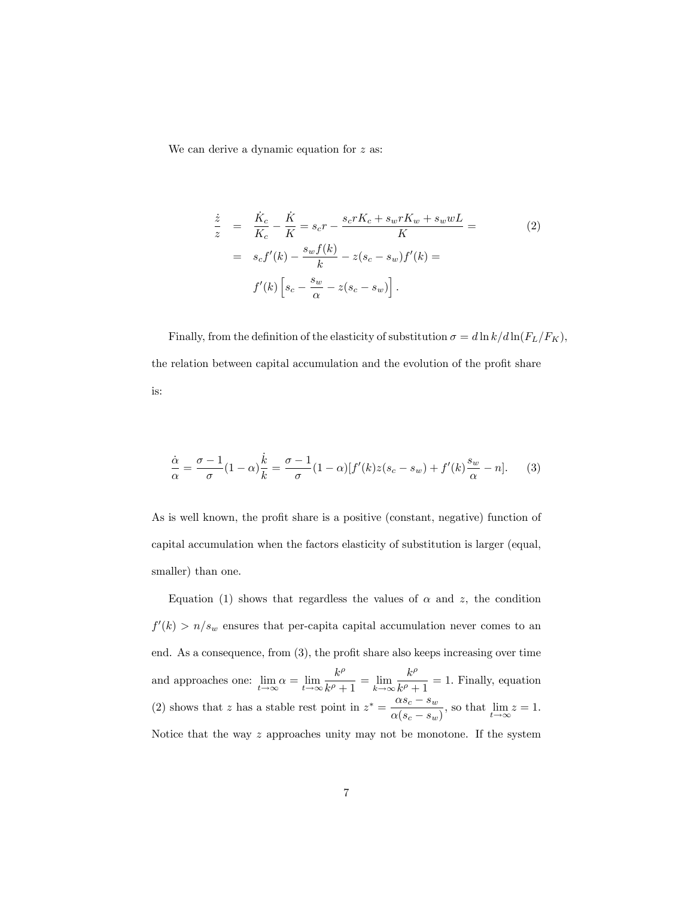We can derive a dynamic equation for  $z$  as:

$$
\frac{\dot{z}}{z} = \frac{\dot{K}_c}{K_c} - \frac{\dot{K}}{K} = s_c r - \frac{s_c r K_c + s_w r K_w + s_w w L}{K} =
$$
\n
$$
= s_c f'(k) - \frac{s_w f(k)}{k} - z(s_c - s_w) f'(k) =
$$
\n
$$
f'(k) \left[ s_c - \frac{s_w}{\alpha} - z(s_c - s_w) \right].
$$
\n(2)

Finally, from the definition of the elasticity of substitution  $\sigma=d\ln k/d\ln(F_L/F_K),$ the relation between capital accumulation and the evolution of the profit share is:

$$
\frac{\dot{\alpha}}{\alpha} = \frac{\sigma - 1}{\sigma} (1 - \alpha) \frac{\dot{k}}{k} = \frac{\sigma - 1}{\sigma} (1 - \alpha) [f'(k)z(s_c - s_w) + f'(k) \frac{s_w}{\alpha} - n].
$$
 (3)

As is well known, the profit share is a positive (constant, negative) function of capital accumulation when the factors elasticity of substitution is larger (equal, smaller) than one.

Equation (1) shows that regardless the values of  $\alpha$  and z, the condition  $f'(k) > n/s_w$  ensures that per-capita capital accumulation never comes to an end. As a consequence, from  $(3)$ , the profit share also keeps increasing over time and approaches one:  $\lim_{t \to \infty} \alpha = \lim_{t \to \infty} \frac{k^{\rho}}{k^{\rho} + 1}$  $\frac{k}{k^{\rho}+1} = \lim_{k \to \infty}$  $k \rightarrow \infty$  $k^{\rho}$  $\frac{k}{k^{\rho}+1} = 1.$  Finally, equation (2) shows that z has a stable rest point in  $z^* = \frac{\alpha s_c - s_w}{\sqrt{a^2 + s_w^2}}$  $\frac{d\cos c - c_w}{\alpha(s_c - s_w)}$ , so that  $\lim_{t \to \infty} z = 1$ . Notice that the way z approaches unity may not be monotone. If the system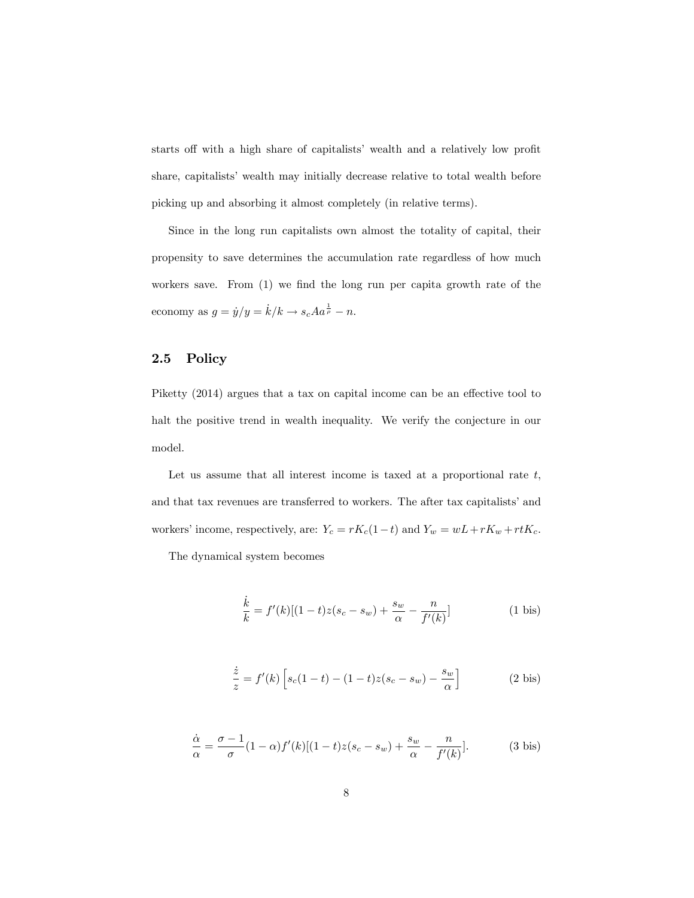starts off with a high share of capitalists' wealth and a relatively low profit share, capitalists' wealth may initially decrease relative to total wealth before picking up and absorbing it almost completely (in relative terms).

Since in the long run capitalists own almost the totality of capital, their propensity to save determines the accumulation rate regardless of how much workers save. From  $(1)$  we find the long run per capita growth rate of the economy as  $g = \dot{y}/y = \dot{k}/k \rightarrow s_c A a^{\frac{1}{\rho}} - n$ .

#### 2.5 Policy

Piketty  $(2014)$  argues that a tax on capital income can be an effective tool to halt the positive trend in wealth inequality. We verify the conjecture in our model.

Let us assume that all interest income is taxed at a proportional rate  $t$ , and that tax revenues are transferred to workers. The after tax capitalists' and workers' income, respectively, are:  $Y_c = rK_c(1-t)$  and  $Y_w = wL + rK_w + rtK_c$ .

The dynamical system becomes

$$
\frac{\dot{k}}{k} = f'(k)[(1-t)z(s_c - s_w) + \frac{s_w}{\alpha} - \frac{n}{f'(k)}]
$$
\n(1 bis)

$$
\frac{\dot{z}}{z} = f'(k) \left[ s_c(1-t) - (1-t)z(s_c - s_w) - \frac{s_w}{\alpha} \right]
$$
 (2 bis)

$$
\frac{\dot{\alpha}}{\alpha} = \frac{\sigma - 1}{\sigma} (1 - \alpha) f'(k) [(1 - t)z(s_c - s_w) + \frac{s_w}{\alpha} - \frac{n}{f'(k)}].
$$
 (3 bis)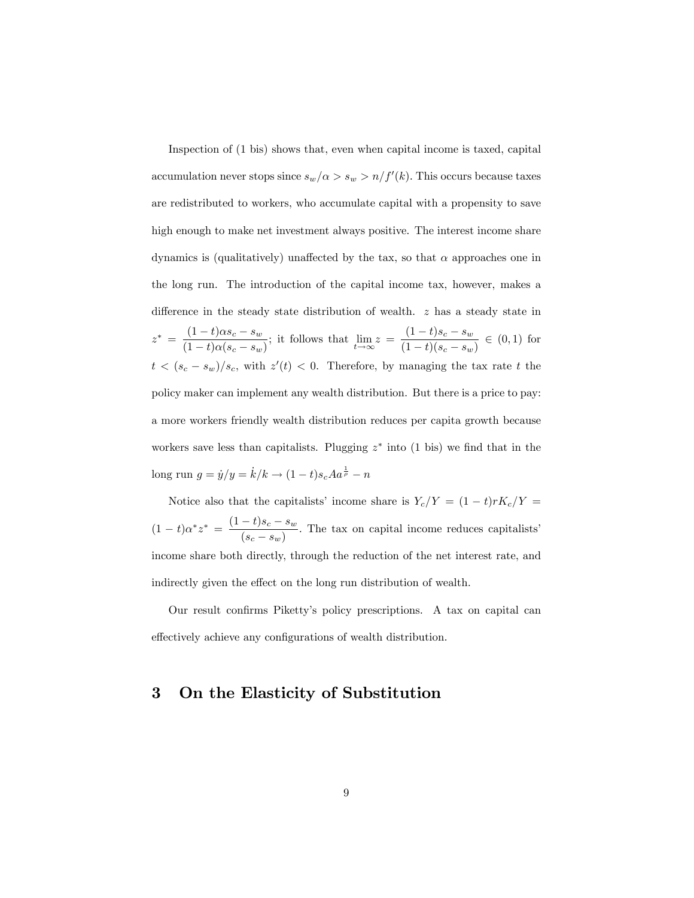Inspection of (1 bis) shows that, even when capital income is taxed, capital accumulation never stops since  $s_w/\alpha > s_w > n/f'(k)$ . This occurs because taxes are redistributed to workers, who accumulate capital with a propensity to save high enough to make net investment always positive. The interest income share dynamics is (qualitatively) unaffected by the tax, so that  $\alpha$  approaches one in the long run. The introduction of the capital income tax, however, makes a difference in the steady state distribution of wealth.  $z$  has a steady state in  $z^* = \frac{(1-t)\alpha s_c - s_w}{(1-t)(1-t)}$  $\frac{(1-t)\alpha s_c - s_w}{(1-t)\alpha (s_c - s_w)}$ ; it follows that  $\lim_{t \to \infty} z = \frac{(1-t)s_c - s_w}{(1-t)(s_c - s_w)}$  $\frac{(1-t)(s_c - s_w)}{(1-t)(s_c - s_w)} \in (0,1)$  for  $t < (s_c - s_w)/s_c$ , with  $z'(t) < 0$ . Therefore, by managing the tax rate t the policy maker can implement any wealth distribution. But there is a price to pay: a more workers friendly wealth distribution reduces per capita growth because workers save less than capitalists. Plugging  $z^*$  into (1 bis) we find that in the long run  $g = \dot{y}/y = \dot{k}/k \to (1 - t)s_c A a^{\frac{1}{\rho}} - n$ 

Notice also that the capitalists' income share is  $Y_c/Y = (1 - t)rK_c/Y$  =  $(1-t)\alpha^* z^* = \frac{(1-t)s_c - s_w}{(s_c - s_w)}$  $\frac{(s_c - s_w)}{(s_c - s_w)}$ . The tax on capital income reduces capitalists' income share both directly, through the reduction of the net interest rate, and indirectly given the effect on the long run distribution of wealth.

Our result confirms Piketty's policy prescriptions. A tax on capital can effectively achieve any configurations of wealth distribution.

### 3 On the Elasticity of Substitution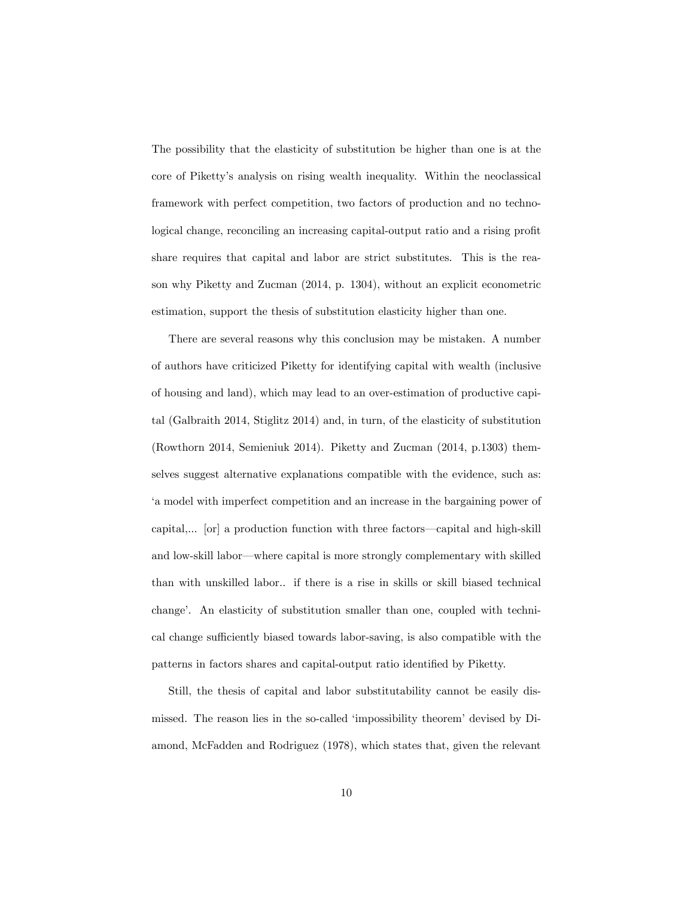The possibility that the elasticity of substitution be higher than one is at the core of Pikettyís analysis on rising wealth inequality. Within the neoclassical framework with perfect competition, two factors of production and no technological change, reconciling an increasing capital-output ratio and a rising profit share requires that capital and labor are strict substitutes. This is the reason why Piketty and Zucman (2014, p. 1304), without an explicit econometric estimation, support the thesis of substitution elasticity higher than one.

There are several reasons why this conclusion may be mistaken. A number of authors have criticized Piketty for identifying capital with wealth (inclusive of housing and land), which may lead to an over-estimation of productive capital (Galbraith 2014, Stiglitz 2014) and, in turn, of the elasticity of substitution (Rowthorn 2014, Semieniuk 2014). Piketty and Zucman (2014, p.1303) themselves suggest alternative explanations compatible with the evidence, such as: ëa model with imperfect competition and an increase in the bargaining power of capital,... [or] a production function with three factors—capital and high-skill and low-skill labor—where capital is more strongly complementary with skilled than with unskilled labor.. if there is a rise in skills or skill biased technical changeí. An elasticity of substitution smaller than one, coupled with technical change sufficiently biased towards labor-saving, is also compatible with the patterns in factors shares and capital-output ratio identified by Piketty.

Still, the thesis of capital and labor substitutability cannot be easily dismissed. The reason lies in the so-called 'impossibility theorem' devised by Diamond, McFadden and Rodriguez (1978), which states that, given the relevant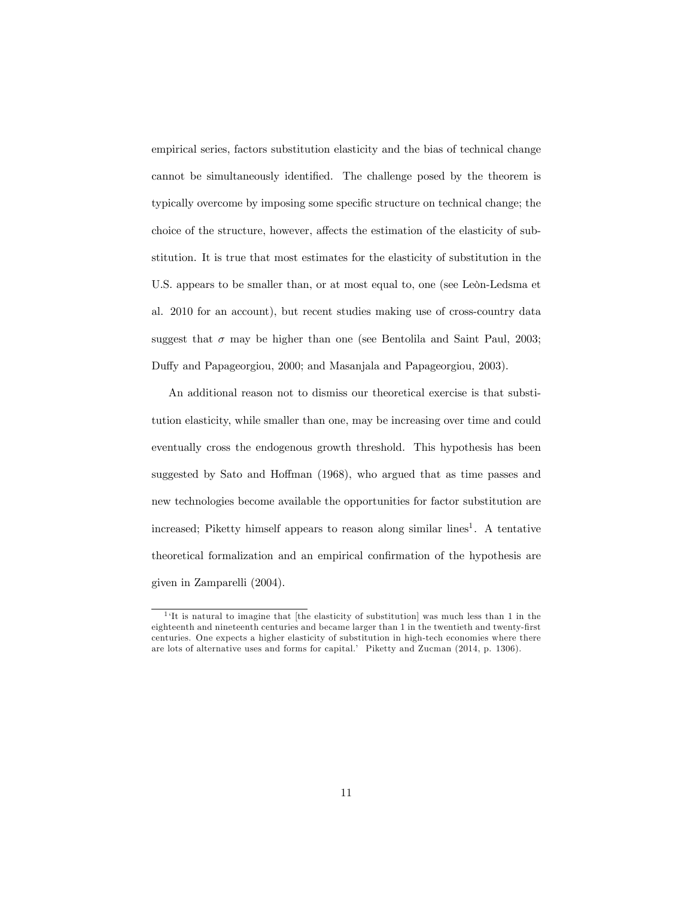empirical series, factors substitution elasticity and the bias of technical change cannot be simultaneously identified. The challenge posed by the theorem is typically overcome by imposing some specific structure on technical change; the choice of the structure, however, affects the estimation of the elasticity of substitution. It is true that most estimates for the elasticity of substitution in the U.S. appears to be smaller than, or at most equal to, one (see Leon-Ledsma et al. 2010 for an account), but recent studies making use of cross-country data suggest that  $\sigma$  may be higher than one (see Bentolila and Saint Paul, 2003; Duffy and Papageorgiou, 2000; and Masanjala and Papageorgiou, 2003).

An additional reason not to dismiss our theoretical exercise is that substitution elasticity, while smaller than one, may be increasing over time and could eventually cross the endogenous growth threshold. This hypothesis has been suggested by Sato and Hoffman (1968), who argued that as time passes and new technologies become available the opportunities for factor substitution are increased; Piketty himself appears to reason along similar lines<sup>1</sup>. A tentative theoretical formalization and an empirical confirmation of the hypothesis are given in Zamparelli (2004).

<sup>&</sup>lt;sup>1</sup>'It is natural to imagine that [the elasticity of substitution] was much less than 1 in the eighteenth and nineteenth centuries and became larger than 1 in the twentieth and twenty-first centuries. One expects a higher elasticity of substitution in high-tech economies where there are lots of alternative uses and forms for capital.' Piketty and Zucman (2014, p. 1306).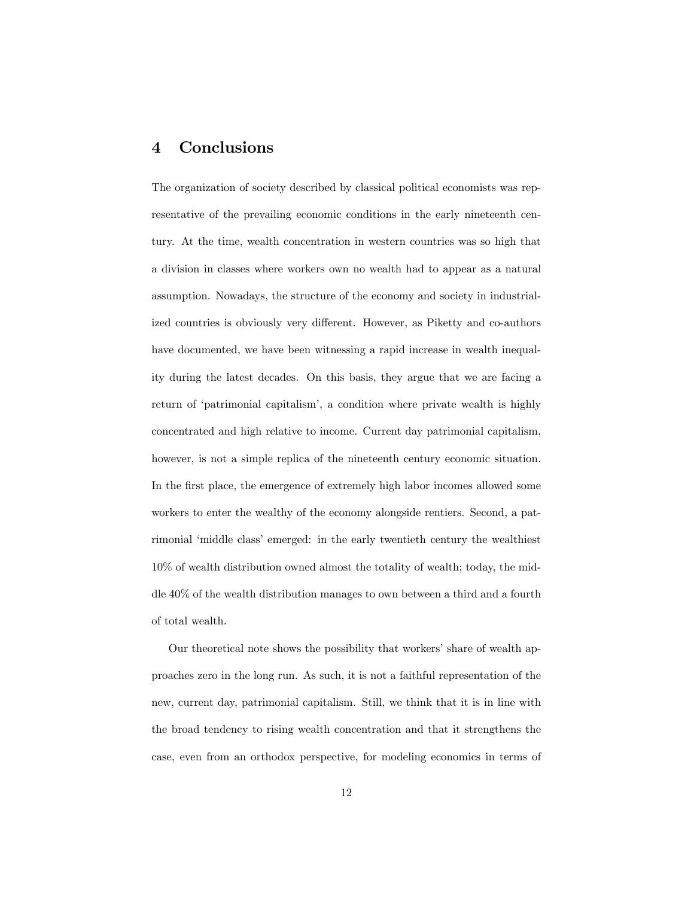## 4 Conclusions

The organization of society described by classical political economists was representative of the prevailing economic conditions in the early nineteenth century. At the time, wealth concentration in western countries was so high that a division in classes where workers own no wealth had to appear as a natural assumption. Nowadays, the structure of the economy and society in industrialized countries is obviously very different. However, as Piketty and co-authors have documented, we have been witnessing a rapid increase in wealth inequality during the latest decades. On this basis, they argue that we are facing a return of 'patrimonial capitalism', a condition where private wealth is highly concentrated and high relative to income. Current day patrimonial capitalism, however, is not a simple replica of the nineteenth century economic situation. In the first place, the emergence of extremely high labor incomes allowed some workers to enter the wealthy of the economy alongside rentiers. Second, a patrimonial 'middle class' emerged: in the early twentieth century the wealthiest 10% of wealth distribution owned almost the totality of wealth; today, the middle 40% of the wealth distribution manages to own between a third and a fourth of total wealth.

Our theoretical note shows the possibility that workers' share of wealth approaches zero in the long run. As such, it is not a faithful representation of the new, current day, patrimonial capitalism. Still, we think that it is in line with the broad tendency to rising wealth concentration and that it strengthens the case, even from an orthodox perspective, for modeling economics in terms of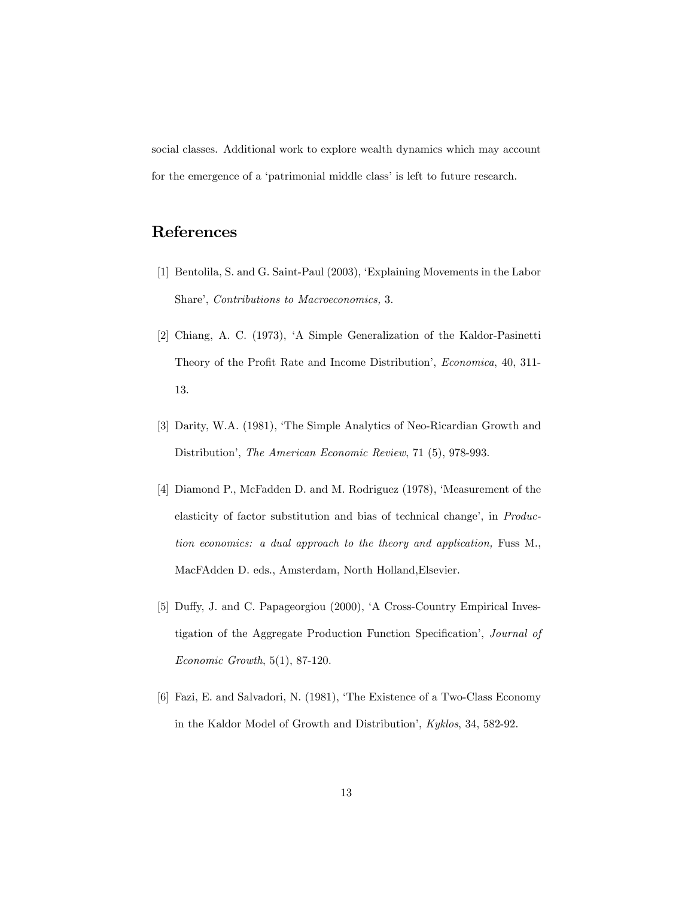social classes. Additional work to explore wealth dynamics which may account for the emergence of a 'patrimonial middle class' is left to future research.

## References

- [1] Bentolila, S. and G. Saint-Paul (2003), ëExplaining Movements in the Labor Share', Contributions to Macroeconomics, 3.
- [2] Chiang, A. C. (1973), ëA Simple Generalization of the Kaldor-Pasinetti Theory of the Profit Rate and Income Distribution', *Economica*, 40, 311-13.
- [3] Darity, W.A. (1981), 'The Simple Analytics of Neo-Ricardian Growth and Distribution', The American Economic Review, 71 (5), 978-993.
- [4] Diamond P., McFadden D. and M. Rodriguez (1978), 'Measurement of the elasticity of factor substitution and bias of technical change', in Production economics: a dual approach to the theory and application, Fuss M., MacFAdden D. eds., Amsterdam, North Holland,Elsevier.
- [5] Duffy, J. and C. Papageorgiou (2000), 'A Cross-Country Empirical Investigation of the Aggregate Production Function Specification<sup>'</sup>, *Journal of* Economic Growth, 5(1), 87-120.
- [6] Fazi, E. and Salvadori, N. (1981), ëThe Existence of a Two-Class Economy in the Kaldor Model of Growth and Distribution', Kyklos, 34, 582-92.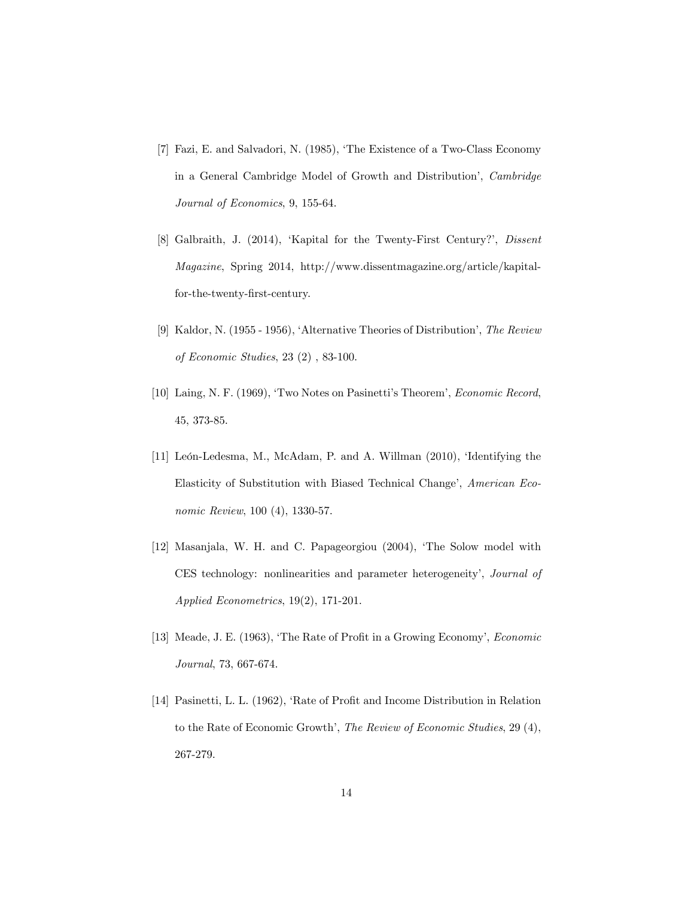- [7] Fazi, E. and Salvadori, N. (1985), ëThe Existence of a Two-Class Economy in a General Cambridge Model of Growth and Distribution<sup>'</sup>, *Cambridge* Journal of Economics, 9, 155-64.
- [8] Galbraith, J. (2014), 'Kapital for the Twenty-First Century?', Dissent Magazine, Spring 2014, http://www.dissentmagazine.org/article/kapitalfor-the-twenty-Örst-century.
- [9] Kaldor, N. (1955 1956), 'Alternative Theories of Distribution', The Review of Economic Studies, 23 (2) , 83-100.
- [10] Laing, N. F. (1969), 'Two Notes on Pasinetti's Theorem', *Economic Record*, 45, 373-85.
- [11] León-Ledesma, M., McAdam, P. and A. Willman (2010), 'Identifying the Elasticity of Substitution with Biased Technical Change', American Economic Review, 100 (4), 1330-57.
- [12] Masanjala, W. H. and C. Papageorgiou (2004), 'The Solow model with CES technology: nonlinearities and parameter heterogeneity', Journal of Applied Econometrics, 19(2), 171-201.
- [13] Meade, J. E. (1963), 'The Rate of Profit in a Growing Economy', *Economic* Journal, 73, 667-674.
- [14] Pasinetti, L. L. (1962), 'Rate of Profit and Income Distribution in Relation to the Rate of Economic Growth', The Review of Economic Studies, 29 (4), 267-279.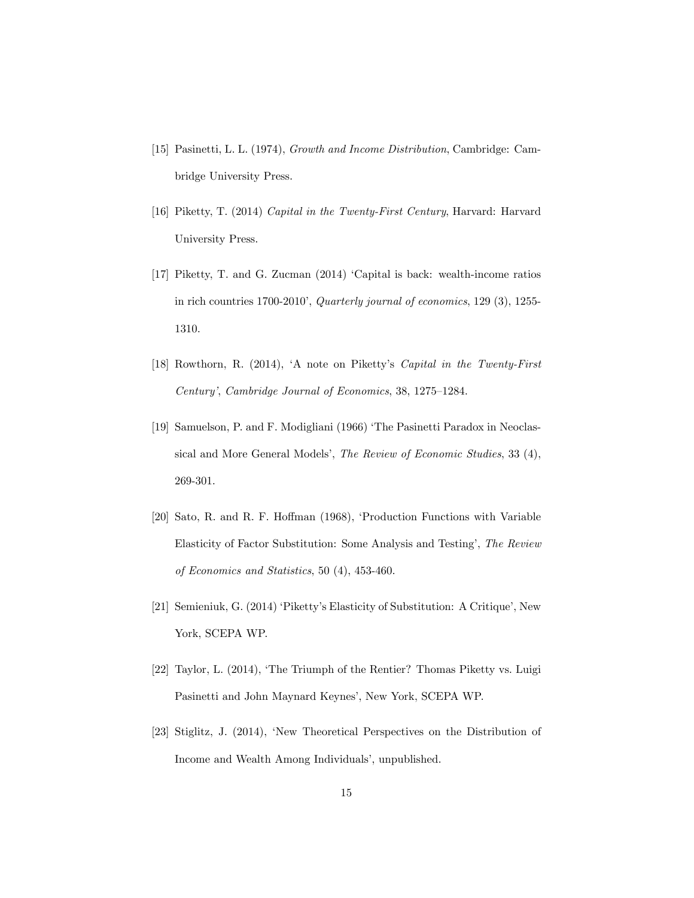- [15] Pasinetti, L. L. (1974), Growth and Income Distribution, Cambridge: Cambridge University Press.
- [16] Piketty, T. (2014) Capital in the Twenty-First Century, Harvard: Harvard University Press.
- [17] Piketty, T. and G. Zucman (2014) 'Capital is back: wealth-income ratios in rich countries  $1700-2010$ , Quarterly journal of economics, 129 (3), 1255-1310.
- [18] Rowthorn, R. (2014), ëA note on Pikettyís Capital in the Twenty-First Century', Cambridge Journal of Economics, 38, 1275-1284.
- [19] Samuelson, P. and F. Modigliani (1966) 'The Pasinetti Paradox in Neoclassical and More General Models', The Review of Economic Studies, 33 (4), 269-301.
- [20] Sato, R. and R. F. Hoffman (1968), 'Production Functions with Variable Elasticity of Factor Substitution: Some Analysis and Testing', The Review of Economics and Statistics, 50 (4), 453-460.
- [21] Semieniuk, G. (2014) ëPikettyís Elasticity of Substitution: A Critiqueí, New York, SCEPA WP.
- [22] Taylor, L. (2014), 'The Triumph of the Rentier? Thomas Piketty vs. Luigi Pasinetti and John Maynard Keynes', New York, SCEPA WP.
- [23] Stiglitz, J. (2014), ëNew Theoretical Perspectives on the Distribution of Income and Wealth Among Individuals', unpublished.